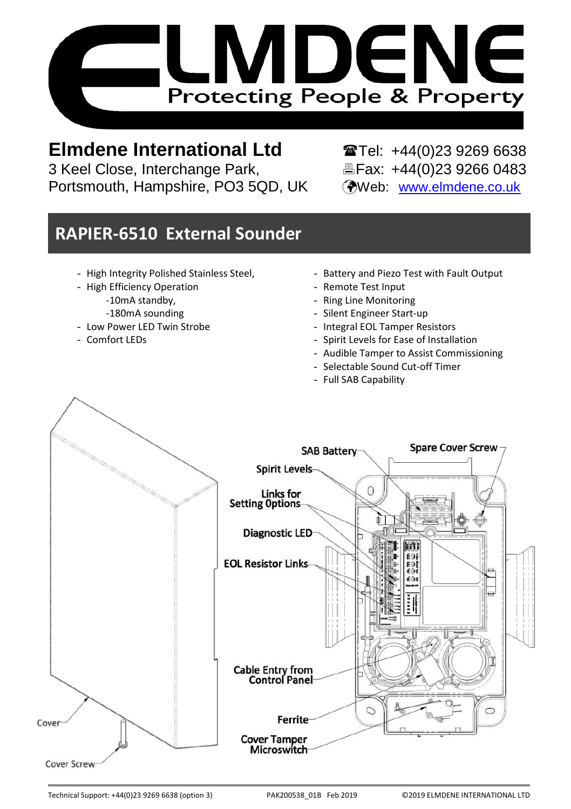

# 

3 Keel Close, Interchange Park, Portsmouth, Hampshire, PO3 5QD, UK (Web: [www.elmdene.co.uk](http://www.elmdene.co.uk/)

**Elmdene International Ltd** <br>3 Keel Close, Interchange Park, <br>**Elected Brax: +44(0)23 9266 0483** 

# **RAPIER-6510 External Sounder**

- High Integrity Polished Stainless Steel,
- High Efficiency Operation
	- -10mA standby,
	- -180mA sounding
- Low Power LED Twin Strobe
- Comfort LEDs
- Battery and Piezo Test with Fault Output
- Remote Test Input
- Ring Line Monitoring
- Silent Engineer Start-up
- Integral EOL Tamper Resistors
- Spirit Levels for Ease of Installation
- Audible Tamper to Assist Commissioning
- Selectable Sound Cut-off Timer
- Full SAB Capability

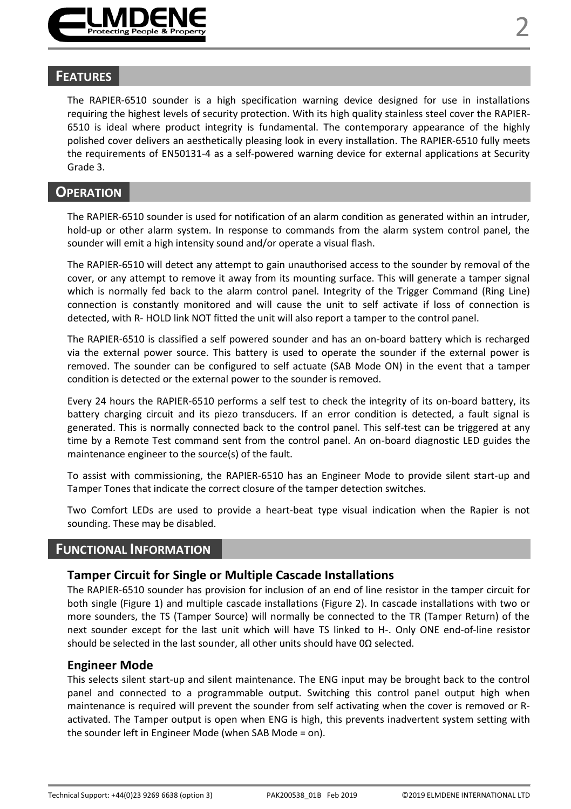

#### **FEATURES**

The RAPIER-6510 sounder is a high specification warning device designed for use in installations requiring the highest levels of security protection. With its high quality stainless steel cover the RAPIER-6510 is ideal where product integrity is fundamental. The contemporary appearance of the highly polished cover delivers an aesthetically pleasing look in every installation. The RAPIER-6510 fully meets the requirements of EN50131-4 as a self-powered warning device for external applications at Security Grade 3.

#### **OPERATION**

The RAPIER-6510 sounder is used for notification of an alarm condition as generated within an intruder, hold-up or other alarm system. In response to commands from the alarm system control panel, the sounder will emit a high intensity sound and/or operate a visual flash.

The RAPIER-6510 will detect any attempt to gain unauthorised access to the sounder by removal of the cover, or any attempt to remove it away from its mounting surface. This will generate a tamper signal which is normally fed back to the alarm control panel. Integrity of the Trigger Command (Ring Line) connection is constantly monitored and will cause the unit to self activate if loss of connection is detected, with R- HOLD link NOT fitted the unit will also report a tamper to the control panel.

The RAPIER-6510 is classified a self powered sounder and has an on-board battery which is recharged via the external power source. This battery is used to operate the sounder if the external power is removed. The sounder can be configured to self actuate (SAB Mode ON) in the event that a tamper condition is detected or the external power to the sounder is removed.

Every 24 hours the RAPIER-6510 performs a self test to check the integrity of its on-board battery, its battery charging circuit and its piezo transducers. If an error condition is detected, a fault signal is generated. This is normally connected back to the control panel. This self-test can be triggered at any time by a Remote Test command sent from the control panel. An on-board diagnostic LED guides the maintenance engineer to the source(s) of the fault.

To assist with commissioning, the RAPIER-6510 has an Engineer Mode to provide silent start-up and Tamper Tones that indicate the correct closure of the tamper detection switches.

Two Comfort LEDs are used to provide a heart-beat type visual indication when the Rapier is not sounding. These may be disabled.

#### **FUNCTIONAL INFORMATION**

#### **Tamper Circuit for Single or Multiple Cascade Installations**

The RAPIER-6510 sounder has provision for inclusion of an end of line resistor in the tamper circuit for both single (Figure 1) and multiple cascade installations (Figure 2). In cascade installations with two or more sounders, the TS (Tamper Source) will normally be connected to the TR (Tamper Return) of the next sounder except for the last unit which will have TS linked to H-. Only ONE end-of-line resistor should be selected in the last sounder, all other units should have 0Ω selected.

#### **Engineer Mode**

This selects silent start-up and silent maintenance. The ENG input may be brought back to the control panel and connected to a programmable output. Switching this control panel output high when maintenance is required will prevent the sounder from self activating when the cover is removed or Ractivated. The Tamper output is open when ENG is high, this prevents inadvertent system setting with the sounder left in Engineer Mode (when SAB Mode = on).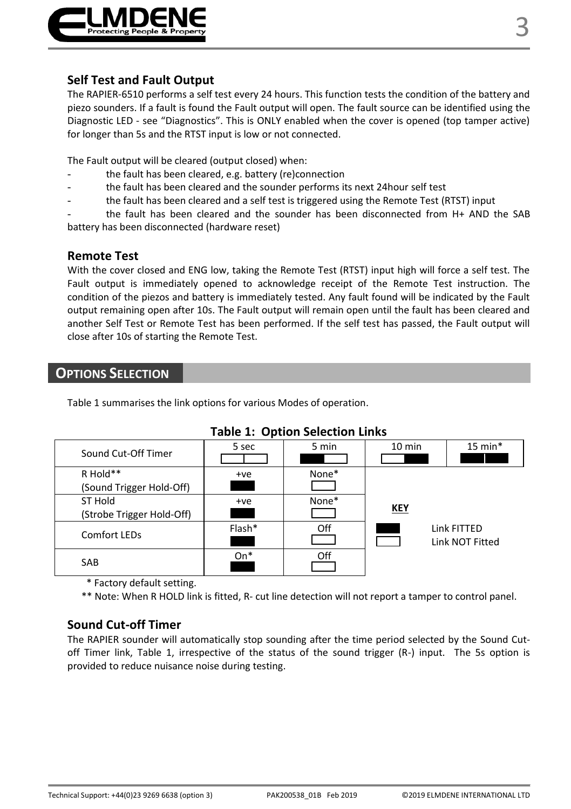

#### **Self Test and Fault Output**

The RAPIER-6510 performs a self test every 24 hours. This function tests the condition of the battery and piezo sounders. If a fault is found the Fault output will open. The fault source can be identified using the Diagnostic LED - see "Diagnostics". This is ONLY enabled when the cover is opened (top tamper active) for longer than 5s and the RTST input is low or not connected.

The Fault output will be cleared (output closed) when:

- the fault has been cleared, e.g. battery (re)connection
- the fault has been cleared and the sounder performs its next 24hour self test
- the fault has been cleared and a self test is triggered using the Remote Test (RTST) input
- the fault has been cleared and the sounder has been disconnected from H+ AND the SAB battery has been disconnected (hardware reset)

#### **Remote Test**

With the cover closed and ENG low, taking the Remote Test (RTST) input high will force a self test. The Fault output is immediately opened to acknowledge receipt of the Remote Test instruction. The condition of the piezos and battery is immediately tested. Any fault found will be indicated by the Fault output remaining open after 10s. The Fault output will remain open until the fault has been cleared and another Self Test or Remote Test has been performed. If the self test has passed, the Fault output will close after 10s of starting the Remote Test.

### **OPTIONS SELECTION**

Table 1 summarises the link options for various Modes of operation.

| Sound Cut-Off Timer                  | 5 sec  | 5 min | $10 \text{ min}$ | $15$ min*                      |
|--------------------------------------|--------|-------|------------------|--------------------------------|
| R Hold**<br>(Sound Trigger Hold-Off) | $+ve$  | None* |                  |                                |
| ST Hold<br>(Strobe Trigger Hold-Off) | $+ve$  | None* | KEY              |                                |
| Comfort LEDs                         | Flash* | Off   |                  | Link FITTED<br>Link NOT Fitted |
| SAB                                  | $On*$  | Off   |                  |                                |

#### **Table 1: Option Selection Links**

\* Factory default setting.

\*\* Note: When R HOLD link is fitted, R- cut line detection will not report a tamper to control panel.

#### **Sound Cut-off Timer**

The RAPIER sounder will automatically stop sounding after the time period selected by the Sound Cutoff Timer link, Table 1, irrespective of the status of the sound trigger (R-) input. The 5s option is provided to reduce nuisance noise during testing.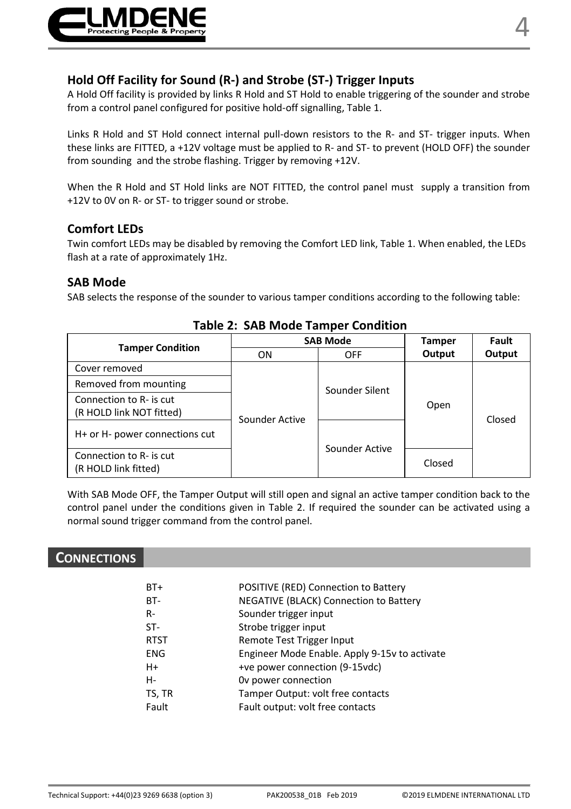

#### **Hold Off Facility for Sound (R-) and Strobe (ST-) Trigger Inputs**

A Hold Off facility is provided by links R Hold and ST Hold to enable triggering of the sounder and strobe from a control panel configured for positive hold-off signalling, Table 1.

Links R Hold and ST Hold connect internal pull-down resistors to the R- and ST- trigger inputs. When these links are FITTED, a +12V voltage must be applied to R- and ST- to prevent (HOLD OFF) the sounder from sounding and the strobe flashing. Trigger by removing +12V.

When the R Hold and ST Hold links are NOT FITTED, the control panel must supply a transition from +12V to 0V on R- or ST- to trigger sound or strobe.

#### **Comfort LEDs**

Twin comfort LEDs may be disabled by removing the Comfort LED link, Table 1. When enabled, the LEDs flash at a rate of approximately 1Hz.

#### **SAB Mode**

SAB selects the response of the sounder to various tamper conditions according to the following table:

| <b>Tamper Condition</b>                             | <b>SAB Mode</b> |                | <b>Tamper</b> | Fault  |
|-----------------------------------------------------|-----------------|----------------|---------------|--------|
|                                                     | ON              | OFF            | Output        | Output |
| Cover removed                                       |                 |                |               |        |
| Removed from mounting                               |                 | Sounder Silent |               |        |
| Connection to R- is cut<br>(R HOLD link NOT fitted) |                 |                | Open          | Closed |
| H+ or H- power connections cut                      | Sounder Active  |                |               |        |
| Connection to R- is cut<br>(R HOLD link fitted)     |                 | Sounder Active | Closed        |        |

#### **Table 2: SAB Mode Tamper Condition**

With SAB Mode OFF, the Tamper Output will still open and signal an active tamper condition back to the control panel under the conditions given in Table 2. If required the sounder can be activated using a normal sound trigger command from the control panel.

#### **CONNECTIONS**

| $BT+$       | POSITIVE (RED) Connection to Battery          |
|-------------|-----------------------------------------------|
| BT-         | NEGATIVE (BLACK) Connection to Battery        |
| $R -$       | Sounder trigger input                         |
| $ST-$       | Strobe trigger input                          |
| <b>RTST</b> | Remote Test Trigger Input                     |
| <b>ENG</b>  | Engineer Mode Enable. Apply 9-15v to activate |
| H+          | +ve power connection (9-15vdc)                |
| н-          | Ov power connection                           |
| TS. TR      | Tamper Output: volt free contacts             |
| Fault       | Fault output: volt free contacts              |
|             |                                               |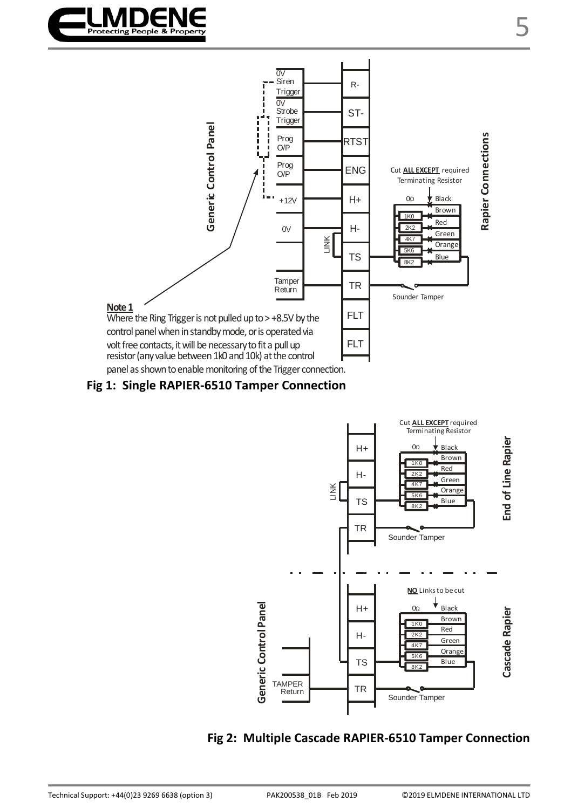



**Fig 1: Single RAPIER-6510 Tamper Connection**



## **Fig 2: Multiple Cascade RAPIER-6510 Tamper Connection**

5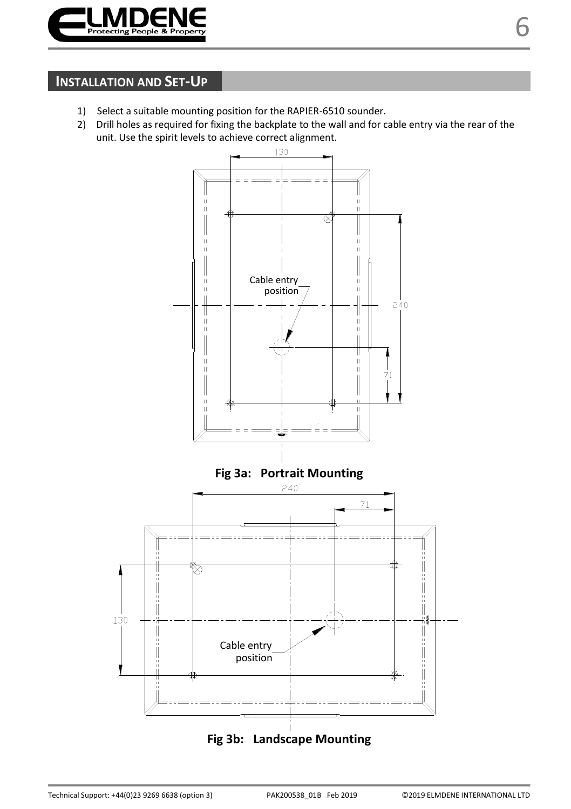

# **INSTALLATION AND SET-UP**

- 1) Select a suitable mounting position for the RAPIER-6510 sounder.
- 2) Drill holes as required for fixing the backplate to the wall and for cable entry via the rear of the unit. Use the spirit levels to achieve correct alignment.

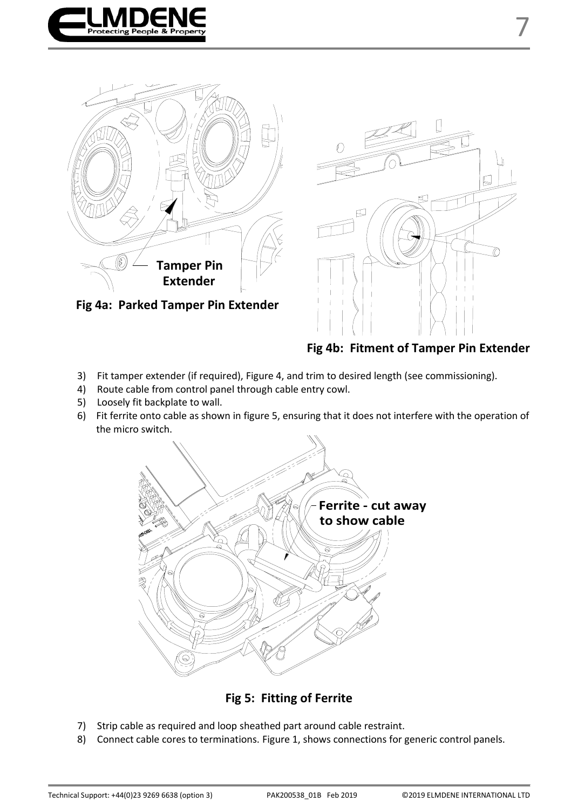





 **Fig 4b: Fitment of Tamper Pin Extender**

- 3) Fit tamper extender (if required), Figure 4, and trim to desired length (see commissioning).
- 4) Route cable from control panel through cable entry cowl.
- 5) Loosely fit backplate to wall.
- 6) Fit ferrite onto cable as shown in figure 5, ensuring that it does not interfere with the operation of the micro switch.



**Fig 5: Fitting of Ferrite**

- 7) Strip cable as required and loop sheathed part around cable restraint.
- 8) Connect cable cores to terminations. Figure 1, shows connections for generic control panels.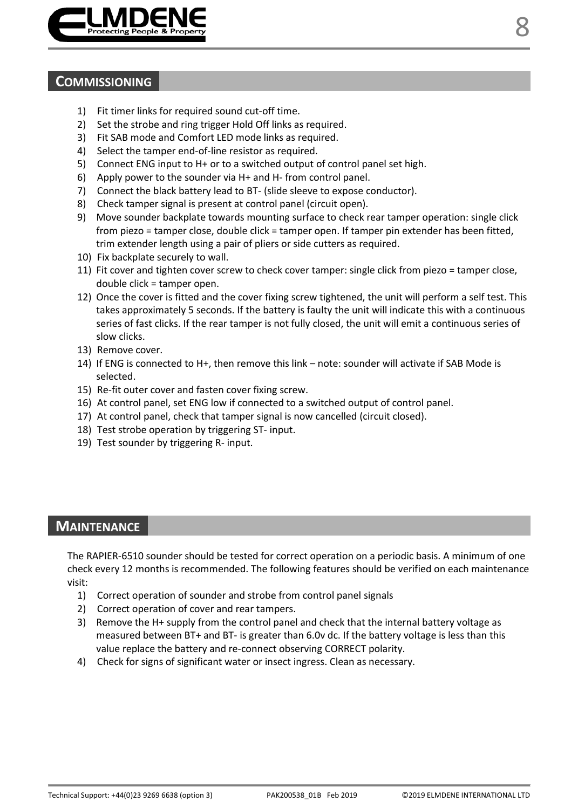

### **COMMISSIONING**

- 1) Fit timer links for required sound cut-off time.
- 2) Set the strobe and ring trigger Hold Off links as required.
- 3) Fit SAB mode and Comfort LED mode links as required.
- 4) Select the tamper end-of-line resistor as required.
- 5) Connect ENG input to H+ or to a switched output of control panel set high.
- 6) Apply power to the sounder via H+ and H- from control panel.
- 7) Connect the black battery lead to BT- (slide sleeve to expose conductor).
- 8) Check tamper signal is present at control panel (circuit open).
- 9) Move sounder backplate towards mounting surface to check rear tamper operation: single click from piezo = tamper close, double click = tamper open. If tamper pin extender has been fitted, trim extender length using a pair of pliers or side cutters as required.
- 10) Fix backplate securely to wall.
- 11) Fit cover and tighten cover screw to check cover tamper: single click from piezo = tamper close, double click = tamper open.
- 12) Once the cover is fitted and the cover fixing screw tightened, the unit will perform a self test. This takes approximately 5 seconds. If the battery is faulty the unit will indicate this with a continuous series of fast clicks. If the rear tamper is not fully closed, the unit will emit a continuous series of slow clicks.
- 13) Remove cover.
- 14) If ENG is connected to H+, then remove this link note: sounder will activate if SAB Mode is selected.
- 15) Re-fit outer cover and fasten cover fixing screw.
- 16) At control panel, set ENG low if connected to a switched output of control panel.
- 17) At control panel, check that tamper signal is now cancelled (circuit closed).
- 18) Test strobe operation by triggering ST- input.
- 19) Test sounder by triggering R- input.

### **MAINTENANCE**

The RAPIER-6510 sounder should be tested for correct operation on a periodic basis. A minimum of one check every 12 months is recommended. The following features should be verified on each maintenance visit:

- 1) Correct operation of sounder and strobe from control panel signals
- 2) Correct operation of cover and rear tampers.
- 3) Remove the H+ supply from the control panel and check that the internal battery voltage as measured between BT+ and BT- is greater than 6.0v dc. If the battery voltage is less than this value replace the battery and re-connect observing CORRECT polarity.
- 4) Check for signs of significant water or insect ingress. Clean as necessary.

8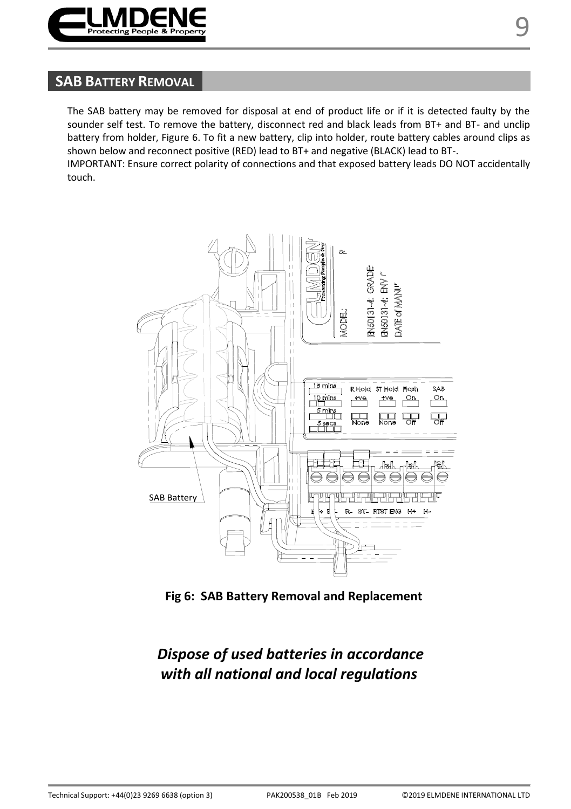

# **SAB BATTERY REMOVAL**

The SAB battery may be removed for disposal at end of product life or if it is detected faulty by the sounder self test. To remove the battery, disconnect red and black leads from BT+ and BT- and unclip battery from holder, Figure 6. To fit a new battery, clip into holder, route battery cables around clips as shown below and reconnect positive (RED) lead to BT+ and negative (BLACK) lead to BT-.

IMPORTANT: Ensure correct polarity of connections and that exposed battery leads DO NOT accidentally touch.



**Fig 6: SAB Battery Removal and Replacement**

# *Dispose of used batteries in accordance with all national and local regulations*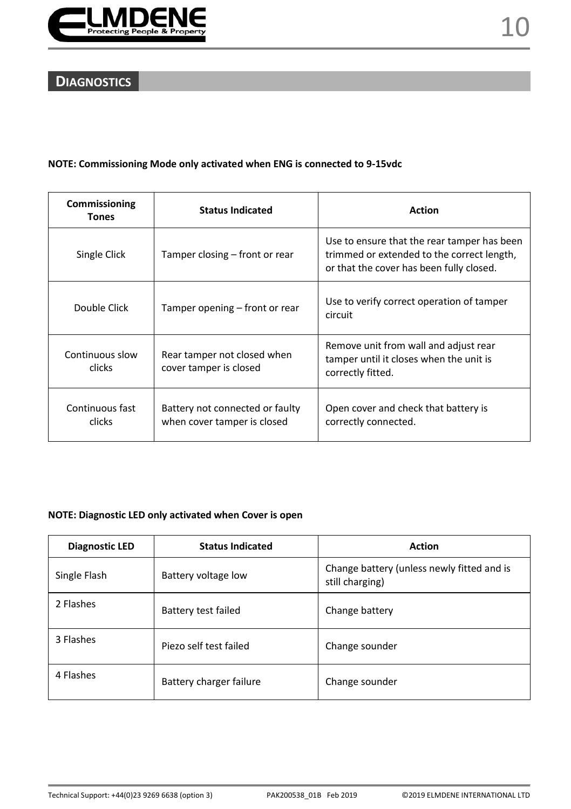

# **DIAGNOSTICS**

#### **NOTE: Commissioning Mode only activated when ENG is connected to 9-15vdc**

| Commissioning<br><b>Tones</b> | <b>Status Indicated</b>                                        | <b>Action</b>                                                                                                                         |
|-------------------------------|----------------------------------------------------------------|---------------------------------------------------------------------------------------------------------------------------------------|
| Single Click                  | Tamper closing – front or rear                                 | Use to ensure that the rear tamper has been<br>trimmed or extended to the correct length,<br>or that the cover has been fully closed. |
| Double Click                  | Tamper opening – front or rear                                 | Use to verify correct operation of tamper<br>circuit                                                                                  |
| Continuous slow<br>clicks     | Rear tamper not closed when<br>cover tamper is closed          | Remove unit from wall and adjust rear<br>tamper until it closes when the unit is<br>correctly fitted.                                 |
| Continuous fast<br>clicks     | Battery not connected or faulty<br>when cover tamper is closed | Open cover and check that battery is<br>correctly connected.                                                                          |

#### **NOTE: Diagnostic LED only activated when Cover is open**

| Diagnostic LED | <b>Status Indicated</b> | <b>Action</b>                                                 |
|----------------|-------------------------|---------------------------------------------------------------|
| Single Flash   | Battery voltage low     | Change battery (unless newly fitted and is<br>still charging) |
| 2 Flashes      | Battery test failed     | Change battery                                                |
| 3 Flashes      | Piezo self test failed  | Change sounder                                                |
| 4 Flashes      | Battery charger failure | Change sounder                                                |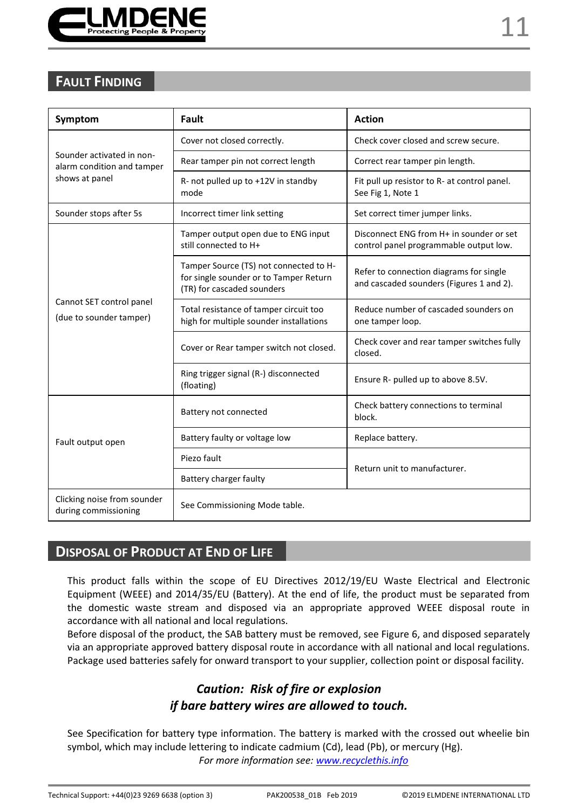

| Symptom                                                 | Fault                                                                                                          | <b>Action</b>                                                                       |  |
|---------------------------------------------------------|----------------------------------------------------------------------------------------------------------------|-------------------------------------------------------------------------------------|--|
|                                                         | Cover not closed correctly.                                                                                    | Check cover closed and screw secure.                                                |  |
| Sounder activated in non-<br>alarm condition and tamper | Rear tamper pin not correct length                                                                             | Correct rear tamper pin length.                                                     |  |
| shows at panel                                          | R- not pulled up to +12V in standby<br>mode                                                                    | Fit pull up resistor to R- at control panel.<br>See Fig 1, Note 1                   |  |
| Sounder stops after 5s                                  | Incorrect timer link setting                                                                                   | Set correct timer jumper links.                                                     |  |
|                                                         | Tamper output open due to ENG input<br>still connected to H+                                                   | Disconnect ENG from H+ in sounder or set<br>control panel programmable output low.  |  |
| Cannot SET control panel<br>(due to sounder tamper)     | Tamper Source (TS) not connected to H-<br>for single sounder or to Tamper Return<br>(TR) for cascaded sounders | Refer to connection diagrams for single<br>and cascaded sounders (Figures 1 and 2). |  |
|                                                         | Total resistance of tamper circuit too<br>high for multiple sounder installations                              | Reduce number of cascaded sounders on<br>one tamper loop.                           |  |
|                                                         | Cover or Rear tamper switch not closed.                                                                        | Check cover and rear tamper switches fully<br>closed.                               |  |
|                                                         | Ring trigger signal (R-) disconnected<br>(floating)                                                            | Ensure R- pulled up to above 8.5V.                                                  |  |
|                                                         | Battery not connected                                                                                          | Check battery connections to terminal<br>block.                                     |  |
| Fault output open                                       | Battery faulty or voltage low                                                                                  | Replace battery.                                                                    |  |
|                                                         | Piezo fault                                                                                                    | Return unit to manufacturer.                                                        |  |
|                                                         | Battery charger faulty                                                                                         |                                                                                     |  |
| Clicking noise from sounder<br>during commissioning     | See Commissioning Mode table.                                                                                  |                                                                                     |  |

# **DISPOSAL OF PRODUCT AT END OF LIFE**

This product falls within the scope of EU Directives 2012/19/EU Waste Electrical and Electronic Equipment (WEEE) and 2014/35/EU (Battery). At the end of life, the product must be separated from the domestic waste stream and disposed via an appropriate approved WEEE disposal route in accordance with all national and local regulations.

Before disposal of the product, the SAB battery must be removed, see Figure 6, and disposed separately via an appropriate approved battery disposal route in accordance with all national and local regulations. Package used batteries safely for onward transport to your supplier, collection point or disposal facility.

# *Caution: Risk of fire or explosion if bare battery wires are allowed to touch.*

See Specification for battery type information. The battery is marked with the crossed out wheelie bin symbol, which may include lettering to indicate cadmium (Cd), lead (Pb), or mercury (Hg). *For more information see[: www.recyclethis.info](http://www.recyclethis.info/)*